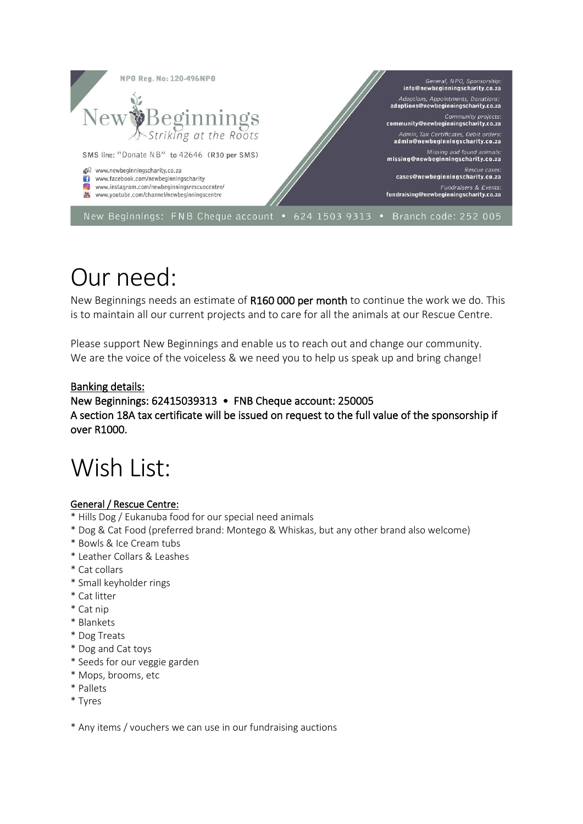

# Our need:

New Beginnings needs an estimate of R160 000 per month to continue the work we do. This is to maintain all our current projects and to care for all the animals at our Rescue Centre.

Please support New Beginnings and enable us to reach out and change our community. We are the voice of the voiceless & we need you to help us speak up and bring change!

#### Banking details:

### New Beginnings: 62415039313 • FNB Cheque account: 250005 A section 18A tax certificate will be issued on request to the full value of the sponsorship if over R1000.

# Wish List:

#### General / Rescue Centre:

- \* Hills Dog / Eukanuba food for our special need animals
- \* Dog & Cat Food (preferred brand: Montego & Whiskas, but any other brand also welcome)
- \* Bowls & Ice Cream tubs
- \* Leather Collars & Leashes
- \* Cat collars
- \* Small keyholder rings
- \* Cat litter
- \* Cat nip
- \* Blankets
- \* Dog Treats
- \* Dog and Cat toys
- \* Seeds for our veggie garden
- \* Mops, brooms, etc
- \* Pallets
- \* Tyres

\* Any items / vouchers we can use in our fundraising auctions